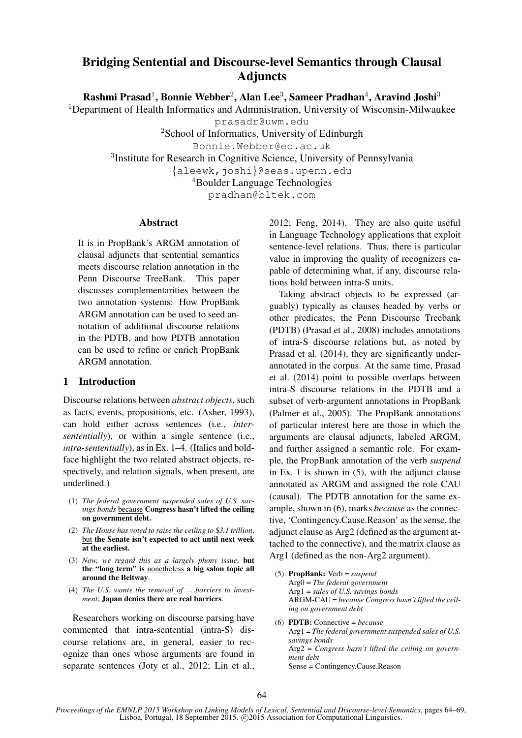# Bridging Sentential and Discourse-level Semantics through Clausal Adjuncts

Rashmi Prasad<sup>1</sup>, Bonnie Webber<sup>2</sup>, Alan Lee<sup>3</sup>, Sameer Pradhan<sup>4</sup>, Aravind Joshi<sup>3</sup>

<sup>1</sup>Department of Health Informatics and Administration, University of Wisconsin-Milwaukee

prasadr@uwm.edu

<sup>2</sup>School of Informatics, University of Edinburgh

Bonnie.Webber@ed.ac.uk

<sup>3</sup>Institute for Research in Cognitive Science, University of Pennsylvania

{aleewk,joshi}@seas.upenn.edu

<sup>4</sup>Boulder Language Technologies

pradhan@bltek.com

#### Abstract

It is in PropBank's ARGM annotation of clausal adjuncts that sentential semantics meets discourse relation annotation in the Penn Discourse TreeBank. This paper discusses complementarities between the two annotation systems: How PropBank ARGM annotation can be used to seed annotation of additional discourse relations in the PDTB, and how PDTB annotation can be used to refine or enrich PropBank ARGM annotation.

#### 1 Introduction

Discourse relations between *abstract objects*, such as facts, events, propositions, etc. (Asher, 1993), can hold either across sentences (i.e., *intersententially*), or within a single sentence (i.e., *intra-sententially*), as in Ex. 1–4. (Italics and boldface highlight the two related abstract objects, respectively, and relation signals, when present, are underlined.)

- (1) *The federal government suspended sales of U.S. savings bonds* because Congress hasn't lifted the ceiling on government debt.
- (2) *The House has voted to raise the ceiling to* \$*3.1 trillion*, but the Senate isn't expected to act until next week at the earliest.
- (3) *Now, we regard this as a largely phony issue*, but the "long term" is nonetheless a big salon topic all around the Beltway.
- (4) *The U.S. wants the removal of* . . .*barriers to investment*; Japan denies there are real barriers.

Researchers working on discourse parsing have commented that intra-sentential (intra-S) discourse relations are, in general, easier to recognize than ones whose arguments are found in separate sentences (Joty et al., 2012; Lin et al., 2012; Feng, 2014). They are also quite useful in Language Technology applications that exploit sentence-level relations. Thus, there is particular value in improving the quality of recognizers capable of determining what, if any, discourse relations hold between intra-S units.

Taking abstract objects to be expressed (arguably) typically as clauses headed by verbs or other predicates, the Penn Discourse Treebank (PDTB) (Prasad et al., 2008) includes annotations of intra-S discourse relations but, as noted by Prasad et al. (2014), they are significantly underannotated in the corpus. At the same time, Prasad et al. (2014) point to possible overlaps between intra-S discourse relations in the PDTB and a subset of verb-argument annotations in PropBank (Palmer et al., 2005). The PropBank annotations of particular interest here are those in which the arguments are clausal adjuncts, labeled ARGM, and further assigned a semantic role. For example, the PropBank annotation of the verb *suspend* in Ex. 1 is shown in (5), with the adjunct clause annotated as ARGM and assigned the role CAU (causal). The PDTB annotation for the same example, shown in (6), marks *because* as the connective, 'Contingency.Cause.Reason' as the sense, the adjunct clause as Arg2 (defined as the argument attached to the connective), and the matrix clause as Arg1 (defined as the non-Arg2 argument).

- (5) PropBank: Verb = *suspend* Arg0 = *The federal government* Arg1 = *sales of U.S. savings bonds* ARGM-CAU = *because Congress hasn't lifted the ceiling on government debt*
- (6) PDTB: Connective = *because* Arg1 = *The federal government suspended sales of U.S. savings bonds* Arg2 = *Congress hasn't lifted the ceiling on government debt* Sense = Contingency.Cause.Reason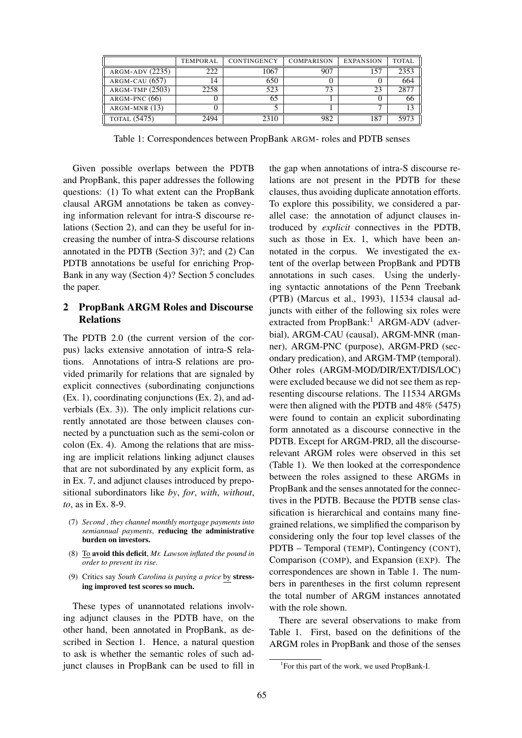|                     | <b>TEMPORAL</b> | CONTINGENCY | <b>COMPARISON</b> | <b>EXPANSION</b> | <b>TOTAL</b> |
|---------------------|-----------------|-------------|-------------------|------------------|--------------|
| ARGM-ADV (2235)     | 222             | 1067        | 907               | 157              | 2353         |
| $ARGM-CAU$ (657)    | 14              | 650         |                   |                  | 664          |
| $ARGM-TMP (2503)$   | 2258            | 523         | 73                | 23               | 2877         |
| $ARGM-PNC(66)$      |                 | 65          |                   |                  | 66           |
| $ARGM-MNR(13)$      |                 |             |                   |                  | 13           |
| <b>TOTAL</b> (5475) | 2494            | 2310        | 982               | 187              | 5973         |

Table 1: Correspondences between PropBank ARGM- roles and PDTB senses

Given possible overlaps between the PDTB and PropBank, this paper addresses the following questions: (1) To what extent can the PropBank clausal ARGM annotations be taken as conveying information relevant for intra-S discourse relations (Section 2), and can they be useful for increasing the number of intra-S discourse relations annotated in the PDTB (Section 3)?; and (2) Can PDTB annotations be useful for enriching Prop-Bank in any way (Section 4)? Section 5 concludes the paper.

### 2 PropBank ARGM Roles and Discourse Relations

The PDTB 2.0 (the current version of the corpus) lacks extensive annotation of intra-S relations. Annotations of intra-S relations are provided primarily for relations that are signaled by explicit connectives (subordinating conjunctions (Ex. 1), coordinating conjunctions (Ex. 2), and adverbials (Ex. 3)). The only implicit relations currently annotated are those between clauses connected by a punctuation such as the semi-colon or colon (Ex. 4). Among the relations that are missing are implicit relations linking adjunct clauses that are not subordinated by any explicit form, as in Ex. 7, and adjunct clauses introduced by prepositional subordinators like *by*, *for*, *with*, *without*, *to*, as in Ex. 8-9.

- (7) *Second , they channel monthly mortgage payments into semiannual payments*, reducing the administrative burden on investors.
- (8) To avoid this deficit, *Mr. Lawson inflated the pound in order to prevent its rise*.
- (9) Critics say *South Carolina is paying a price* by stressing improved test scores so much.

These types of unannotated relations involving adjunct clauses in the PDTB have, on the other hand, been annotated in PropBank, as described in Section 1. Hence, a natural question to ask is whether the semantic roles of such adjunct clauses in PropBank can be used to fill in the gap when annotations of intra-S discourse relations are not present in the PDTB for these clauses, thus avoiding duplicate annotation efforts. To explore this possibility, we considered a parallel case: the annotation of adjunct clauses introduced by *explicit* connectives in the PDTB, such as those in Ex. 1, which have been annotated in the corpus. We investigated the extent of the overlap between PropBank and PDTB annotations in such cases. Using the underlying syntactic annotations of the Penn Treebank (PTB) (Marcus et al., 1993), 11534 clausal adjuncts with either of the following six roles were extracted from PropBank:<sup>1</sup> ARGM-ADV (adverbial), ARGM-CAU (causal), ARGM-MNR (manner), ARGM-PNC (purpose), ARGM-PRD (secondary predication), and ARGM-TMP (temporal). Other roles (ARGM-MOD/DIR/EXT/DIS/LOC) were excluded because we did not see them as representing discourse relations. The 11534 ARGMs were then aligned with the PDTB and 48% (5475) were found to contain an explicit subordinating form annotated as a discourse connective in the PDTB. Except for ARGM-PRD, all the discourserelevant ARGM roles were observed in this set (Table 1). We then looked at the correspondence between the roles assigned to these ARGMs in PropBank and the senses annotated for the connectives in the PDTB. Because the PDTB sense classification is hierarchical and contains many finegrained relations, we simplified the comparison by considering only the four top level classes of the PDTB – Temporal (TEMP), Contingency (CONT), Comparison (COMP), and Expansion (EXP). The correspondences are shown in Table 1. The numbers in parentheses in the first column represent the total number of ARGM instances annotated with the role shown.

There are several observations to make from Table 1. First, based on the definitions of the ARGM roles in PropBank and those of the senses

<sup>1</sup> For this part of the work, we used PropBank-I.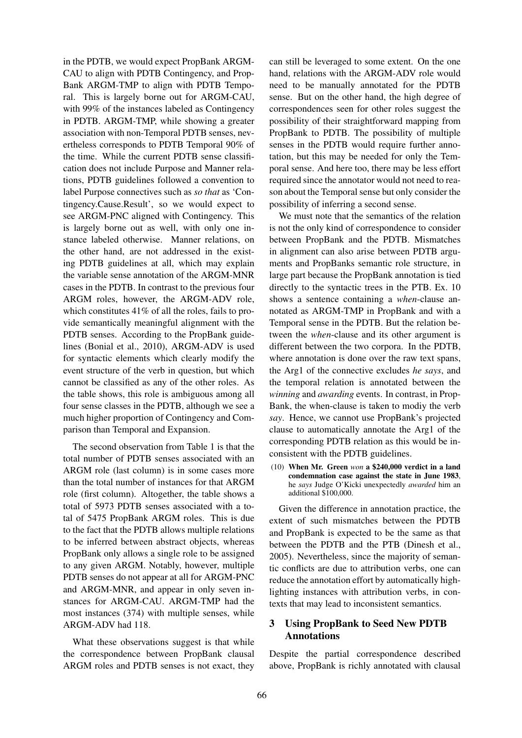in the PDTB, we would expect PropBank ARGM-CAU to align with PDTB Contingency, and Prop-Bank ARGM-TMP to align with PDTB Temporal. This is largely borne out for ARGM-CAU, with 99% of the instances labeled as Contingency in PDTB. ARGM-TMP, while showing a greater association with non-Temporal PDTB senses, nevertheless corresponds to PDTB Temporal 90% of the time. While the current PDTB sense classification does not include Purpose and Manner relations, PDTB guidelines followed a convention to label Purpose connectives such as *so that* as 'Contingency.Cause.Result', so we would expect to see ARGM-PNC aligned with Contingency. This is largely borne out as well, with only one instance labeled otherwise. Manner relations, on the other hand, are not addressed in the existing PDTB guidelines at all, which may explain the variable sense annotation of the ARGM-MNR cases in the PDTB. In contrast to the previous four ARGM roles, however, the ARGM-ADV role, which constitutes 41% of all the roles, fails to provide semantically meaningful alignment with the PDTB senses. According to the PropBank guidelines (Bonial et al., 2010), ARGM-ADV is used for syntactic elements which clearly modify the event structure of the verb in question, but which cannot be classified as any of the other roles. As the table shows, this role is ambiguous among all four sense classes in the PDTB, although we see a much higher proportion of Contingency and Comparison than Temporal and Expansion.

The second observation from Table 1 is that the total number of PDTB senses associated with an ARGM role (last column) is in some cases more than the total number of instances for that ARGM role (first column). Altogether, the table shows a total of 5973 PDTB senses associated with a total of 5475 PropBank ARGM roles. This is due to the fact that the PDTB allows multiple relations to be inferred between abstract objects, whereas PropBank only allows a single role to be assigned to any given ARGM. Notably, however, multiple PDTB senses do not appear at all for ARGM-PNC and ARGM-MNR, and appear in only seven instances for ARGM-CAU. ARGM-TMP had the most instances (374) with multiple senses, while ARGM-ADV had 118.

What these observations suggest is that while the correspondence between PropBank clausal ARGM roles and PDTB senses is not exact, they

can still be leveraged to some extent. On the one hand, relations with the ARGM-ADV role would need to be manually annotated for the PDTB sense. But on the other hand, the high degree of correspondences seen for other roles suggest the possibility of their straightforward mapping from PropBank to PDTB. The possibility of multiple senses in the PDTB would require further annotation, but this may be needed for only the Temporal sense. And here too, there may be less effort required since the annotator would not need to reason about the Temporal sense but only consider the possibility of inferring a second sense.

We must note that the semantics of the relation is not the only kind of correspondence to consider between PropBank and the PDTB. Mismatches in alignment can also arise between PDTB arguments and PropBanks semantic role structure, in large part because the PropBank annotation is tied directly to the syntactic trees in the PTB. Ex. 10 shows a sentence containing a *when*-clause annotated as ARGM-TMP in PropBank and with a Temporal sense in the PDTB. But the relation between the *when*-clause and its other argument is different between the two corpora. In the PDTB, where annotation is done over the raw text spans, the Arg1 of the connective excludes *he says*, and the temporal relation is annotated between the *winning* and *awarding* events. In contrast, in Prop-Bank, the when-clause is taken to modiy the verb *say*. Hence, we cannot use PropBank's projected clause to automatically annotate the Arg1 of the corresponding PDTB relation as this would be inconsistent with the PDTB guidelines.

(10) When Mr. Green *won* a \$240,000 verdict in a land condemnation case against the state in June 1983, he *says* Judge O'Kicki unexpectedly *awarded* him an additional \$100,000.

Given the difference in annotation practice, the extent of such mismatches between the PDTB and PropBank is expected to be the same as that between the PDTB and the PTB (Dinesh et al., 2005). Nevertheless, since the majority of semantic conflicts are due to attribution verbs, one can reduce the annotation effort by automatically highlighting instances with attribution verbs, in contexts that may lead to inconsistent semantics.

### 3 Using PropBank to Seed New PDTB Annotations

Despite the partial correspondence described above, PropBank is richly annotated with clausal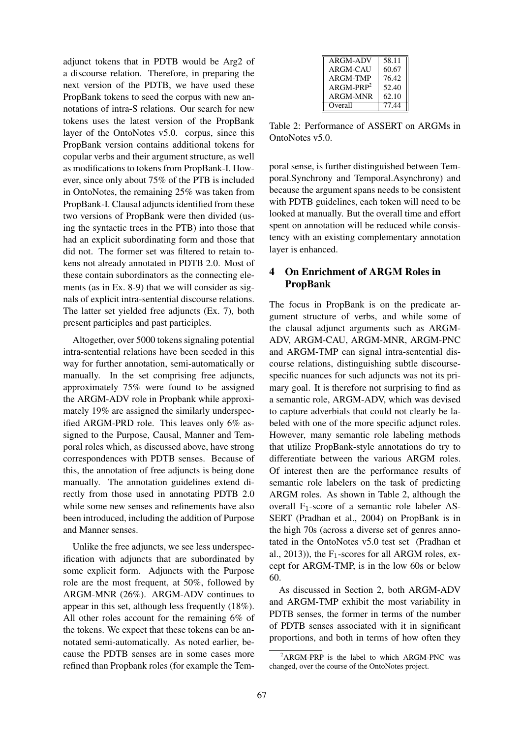adjunct tokens that in PDTB would be Arg2 of a discourse relation. Therefore, in preparing the next version of the PDTB, we have used these PropBank tokens to seed the corpus with new annotations of intra-S relations. Our search for new tokens uses the latest version of the PropBank layer of the OntoNotes v5.0. corpus, since this PropBank version contains additional tokens for copular verbs and their argument structure, as well as modifications to tokens from PropBank-I. However, since only about 75% of the PTB is included in OntoNotes, the remaining 25% was taken from PropBank-I. Clausal adjuncts identified from these two versions of PropBank were then divided (using the syntactic trees in the PTB) into those that had an explicit subordinating form and those that did not. The former set was filtered to retain tokens not already annotated in PDTB 2.0. Most of these contain subordinators as the connecting elements (as in Ex. 8-9) that we will consider as signals of explicit intra-sentential discourse relations. The latter set yielded free adjuncts (Ex. 7), both present participles and past participles.

Altogether, over 5000 tokens signaling potential intra-sentential relations have been seeded in this way for further annotation, semi-automatically or manually. In the set comprising free adjuncts, approximately 75% were found to be assigned the ARGM-ADV role in Propbank while approximately 19% are assigned the similarly underspecified ARGM-PRD role. This leaves only 6% assigned to the Purpose, Causal, Manner and Temporal roles which, as discussed above, have strong correspondences with PDTB senses. Because of this, the annotation of free adjuncts is being done manually. The annotation guidelines extend directly from those used in annotating PDTB 2.0 while some new senses and refinements have also been introduced, including the addition of Purpose and Manner senses.

Unlike the free adjuncts, we see less underspecification with adjuncts that are subordinated by some explicit form. Adjuncts with the Purpose role are the most frequent, at 50%, followed by ARGM-MNR (26%). ARGM-ADV continues to appear in this set, although less frequently (18%). All other roles account for the remaining 6% of the tokens. We expect that these tokens can be annotated semi-automatically. As noted earlier, because the PDTB senses are in some cases more refined than Propbank roles (for example the Tem-

| <b>ARGM-ADV</b> | 58.11 |
|-----------------|-------|
| ARGM-CAU        | 60.67 |
| ARGM-TMP        | 76.42 |
| $ARGM-PRP2$     | 52.40 |
| <b>ARGM-MNR</b> | 62.10 |
| Overall         | 77.44 |

Table 2: Performance of ASSERT on ARGMs in OntoNotes v5.0.

poral sense, is further distinguished between Temporal.Synchrony and Temporal.Asynchrony) and because the argument spans needs to be consistent with PDTB guidelines, each token will need to be looked at manually. But the overall time and effort spent on annotation will be reduced while consistency with an existing complementary annotation layer is enhanced.

## 4 On Enrichment of ARGM Roles in PropBank

The focus in PropBank is on the predicate argument structure of verbs, and while some of the clausal adjunct arguments such as ARGM-ADV, ARGM-CAU, ARGM-MNR, ARGM-PNC and ARGM-TMP can signal intra-sentential discourse relations, distinguishing subtle discoursespecific nuances for such adjuncts was not its primary goal. It is therefore not surprising to find as a semantic role, ARGM-ADV, which was devised to capture adverbials that could not clearly be labeled with one of the more specific adjunct roles. However, many semantic role labeling methods that utilize PropBank-style annotations do try to differentiate between the various ARGM roles. Of interest then are the performance results of semantic role labelers on the task of predicting ARGM roles. As shown in Table 2, although the overall  $F_1$ -score of a semantic role labeler AS-SERT (Pradhan et al., 2004) on PropBank is in the high 70s (across a diverse set of genres annotated in the OntoNotes v5.0 test set (Pradhan et al., 2013)), the  $F_1$ -scores for all ARGM roles, except for ARGM-TMP, is in the low 60s or below 60.

As discussed in Section 2, both ARGM-ADV and ARGM-TMP exhibit the most variability in PDTB senses, the former in terms of the number of PDTB senses associated with it in significant proportions, and both in terms of how often they

 $^{2}$ ARGM-PRP is the label to which ARGM-PNC was changed, over the course of the OntoNotes project.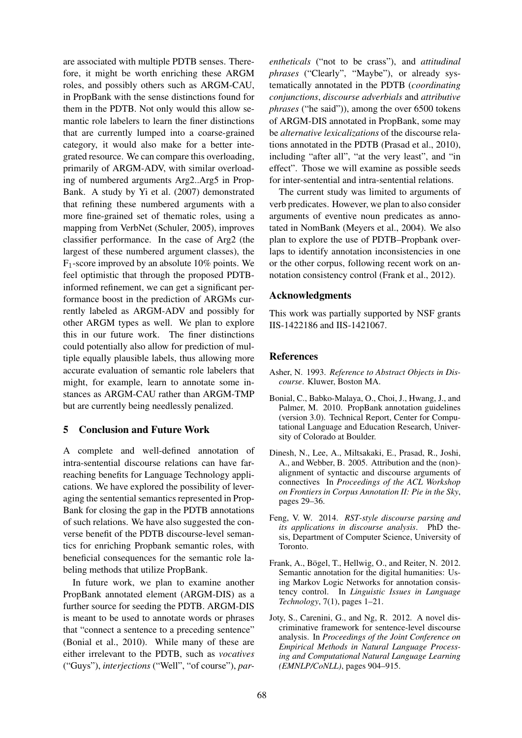are associated with multiple PDTB senses. Therefore, it might be worth enriching these ARGM roles, and possibly others such as ARGM-CAU, in PropBank with the sense distinctions found for them in the PDTB. Not only would this allow semantic role labelers to learn the finer distinctions that are currently lumped into a coarse-grained category, it would also make for a better integrated resource. We can compare this overloading, primarily of ARGM-ADV, with similar overloading of numbered arguments Arg2..Arg5 in Prop-Bank. A study by Yi et al. (2007) demonstrated that refining these numbered arguments with a more fine-grained set of thematic roles, using a mapping from VerbNet (Schuler, 2005), improves classifier performance. In the case of Arg2 (the largest of these numbered argument classes), the  $F_1$ -score improved by an absolute 10% points. We feel optimistic that through the proposed PDTBinformed refinement, we can get a significant performance boost in the prediction of ARGMs currently labeled as ARGM-ADV and possibly for other ARGM types as well. We plan to explore this in our future work. The finer distinctions could potentially also allow for prediction of multiple equally plausible labels, thus allowing more accurate evaluation of semantic role labelers that might, for example, learn to annotate some instances as ARGM-CAU rather than ARGM-TMP but are currently being needlessly penalized.

#### 5 Conclusion and Future Work

A complete and well-defined annotation of intra-sentential discourse relations can have farreaching benefits for Language Technology applications. We have explored the possibility of leveraging the sentential semantics represented in Prop-Bank for closing the gap in the PDTB annotations of such relations. We have also suggested the converse benefit of the PDTB discourse-level semantics for enriching Propbank semantic roles, with beneficial consequences for the semantic role labeling methods that utilize PropBank.

In future work, we plan to examine another PropBank annotated element (ARGM-DIS) as a further source for seeding the PDTB. ARGM-DIS is meant to be used to annotate words or phrases that "connect a sentence to a preceding sentence" (Bonial et al., 2010). While many of these are either irrelevant to the PDTB, such as *vocatives* ("Guys"), *interjections* ("Well", "of course"), *par-*

*entheticals* ("not to be crass"), and *attitudinal phrases* ("Clearly", "Maybe"), or already systematically annotated in the PDTB (*coordinating conjunctions*, *discourse adverbials* and *attributive phrases* ("he said")), among the over 6500 tokens of ARGM-DIS annotated in PropBank, some may be *alternative lexicalizations* of the discourse relations annotated in the PDTB (Prasad et al., 2010), including "after all", "at the very least", and "in effect". Those we will examine as possible seeds for inter-sentential and intra-sentential relations.

The current study was limited to arguments of verb predicates. However, we plan to also consider arguments of eventive noun predicates as annotated in NomBank (Meyers et al., 2004). We also plan to explore the use of PDTB–Propbank overlaps to identify annotation inconsistencies in one or the other corpus, following recent work on annotation consistency control (Frank et al., 2012).

#### Acknowledgments

This work was partially supported by NSF grants IIS-1422186 and IIS-1421067.

#### References

- Asher, N. 1993. *Reference to Abstract Objects in Discourse*. Kluwer, Boston MA.
- Bonial, C., Babko-Malaya, O., Choi, J., Hwang, J., and Palmer, M. 2010. PropBank annotation guidelines (version 3.0). Technical Report, Center for Computational Language and Education Research, University of Colorado at Boulder.
- Dinesh, N., Lee, A., Miltsakaki, E., Prasad, R., Joshi, A., and Webber, B. 2005. Attribution and the (non) alignment of syntactic and discourse arguments of connectives In *Proceedings of the ACL Workshop on Frontiers in Corpus Annotation II: Pie in the Sky*, pages 29–36.
- Feng, V. W. 2014. *RST-style discourse parsing and its applications in discourse analysis*. PhD thesis, Department of Computer Science, University of Toronto.
- Frank, A., Bögel, T., Hellwig, O., and Reiter, N. 2012. Semantic annotation for the digital humanities: Using Markov Logic Networks for annotation consistency control. In *Linguistic Issues in Language Technology*, 7(1), pages 1–21.
- Joty, S., Carenini, G., and Ng, R. 2012. A novel discriminative framework for sentence-level discourse analysis. In *Proceedings of the Joint Conference on Empirical Methods in Natural Language Processing and Computational Natural Language Learning (EMNLP/CoNLL)*, pages 904–915.